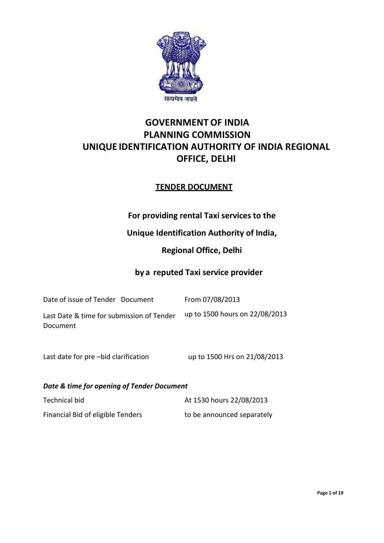

# **GOVERNMENT OF INDIA PLANNING COMMISSION UNIQUE IDENTIFICATION AUTHORITY OF INDIA REGIONAL OFFICE, DELHI**

# **TENDER DOCUMENT**

# **For providing rental Taxi services to the**

# **Unique Identification Authority of India,**

# **Regional Office, Delhi**

## **by a reputed Taxi service provider**

| Date of issue of Tender Document          | From 07/08/2013                |
|-------------------------------------------|--------------------------------|
| Last Date & time for submission of Tender | up to 1500 hours on 22/08/2013 |
| Document                                  |                                |

Last date for pre –bid clarification up to  $1500$  Hrs on  $21/08/2013$ 

*Date & time for opening of Tender Document*

| Technical bid                     | At 1530 hours 22/08/2013   |
|-----------------------------------|----------------------------|
| Financial Bid of eligible Tenders | to be announced separately |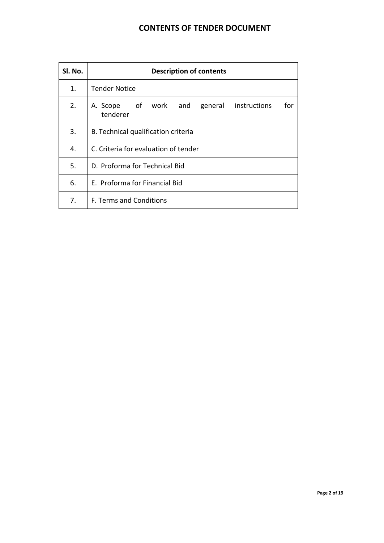# **CONTENTS OF TENDER DOCUMENT**

| SI. No.        | <b>Description of contents</b>                                  |  |  |  |
|----------------|-----------------------------------------------------------------|--|--|--|
| $\mathbf{1}$ . | <b>Tender Notice</b>                                            |  |  |  |
| 2.             | A. Scope of work and<br>general instructions<br>for<br>tenderer |  |  |  |
| 3.             | B. Technical qualification criteria                             |  |  |  |
| 4.             | C. Criteria for evaluation of tender                            |  |  |  |
| 5.             | D. Proforma for Technical Bid                                   |  |  |  |
| 6.             | E. Proforma for Financial Bid                                   |  |  |  |
| 7.             | <b>F. Terms and Conditions</b>                                  |  |  |  |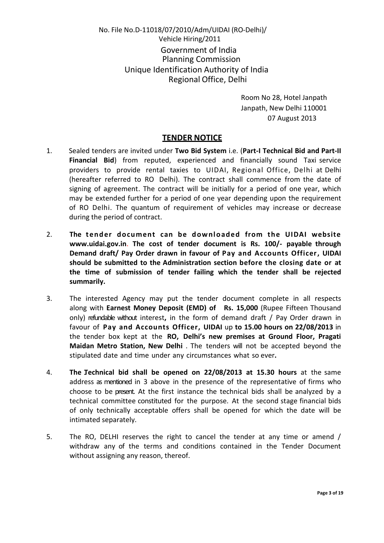# No. File No.D-11018/07/2010/Adm/UIDAI (RO-Delhi)/ Vehicle Hiring/2011 Government of India Planning Commission Unique Identification Authority of India Regional Office, Delhi

Room No 28, Hotel Janpath Janpath, New Delhi 110001 07 August 2013

### **TENDER NOTICE**

- 1. Sealed tenders are invited under **Two Bid System** i.e. (**Part-I Technical Bid and Part-II Financial Bid**) from reputed, experienced and financially sound Taxi service providers to provide rental taxies to UIDAI, Regional Office, Delhi at Delhi (hereafter referred to RO Delhi). The contract shall commence from the date of signing of agreement. The contract will be initially for a period of one year, which may be extended further for a period of one year depending upon the requirement of RO Delhi. The quantum of requirement of vehicles may increase or decrease during the period of contract.
- 2. **The tender document can be dow nl oaded from the UIDAI website www.uidai.gov.in**. **The cost of tender document is Rs. 100/- payable through Demand draft/ Pay Order drawn in favour of Pay and Accounts Officer, UIDAI should be submitted to the Administration section before the closing date or at the time of submission of tender failing which the tender shall be rejected summarily.**
- 3. The interested Agency may put the tender document complete in all respects along with **Earnest Money Deposit (EMD) of Rs. 15,000** (Rupee Fifteen Thousand only) refundable without interest**,** in the form of demand draft / Pay Order drawn in favour of **Pay and Accounts Officer, UIDAI** up **to 15.00 hours on 22/08/2013** in the tender box kept at the **RO, Delhi's new premises at Ground Floor, Pragati Maidan Metro Station, New Delhi** . The tenders will not be accepted beyond the stipulated date and time under any circumstances what so ever**.**
- 4. **The Technical bid shall be opened on 22/08/2013 at 15.30 hours** at the same address as mentioned in 3 above in the presence of the representative of firms who choose to be present. At the first instance the technical bids shall be analyzed by a technical committee constituted for the purpose. At the second stage financial bids of only technically acceptable offers shall be opened for which the date will be intimated separately.
- 5. The RO, DELHI reserves the right to cancel the tender at any time or amend / withdraw any of the terms and conditions contained in the Tender Document without assigning any reason, thereof.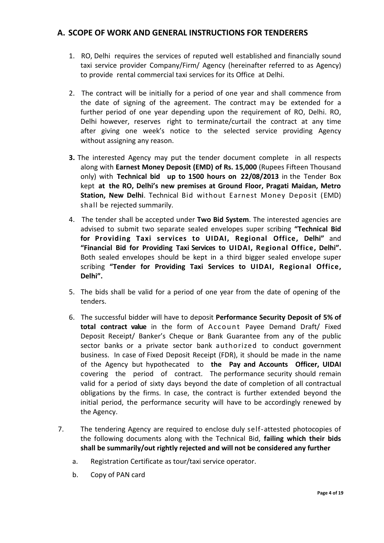### **A. SCOPE OF WORK AND GENERAL INSTRUCTIONS FOR TENDERERS**

- 1. RO, Delhi requires the services of reputed well established and financially sound taxi service provider Company/Firm/ Agency (hereinafter referred to as Agency) to provide rental commercial taxi services for its Office at Delhi.
- 2. The contract will be initially for a period of one year and shall commence from the date of signing of the agreement. The contract may be extended for a further period of one year depending upon the requirement of RO, Delhi. RO, Delhi however, reserves right to terminate/curtail the contract at any time after giving one week's notice to the selected service providing Agency without assigning any reason.
- **3.** The interested Agency may put the tender document complete in all respects along with **Earnest Money Deposit (EMD) of Rs. 15,000** (Rupees Fifteen Thousand only) with **Technical bid up to 1500 hours on 22/08/2013** in the Tender Box kept **at the RO, Delhi's new premises at Ground Floor, Pragati Maidan, Metro Station, New Delhi**. Technical Bid without Earnest Money Deposit (EMD) shall be rejected summarily.
- 4. The tender shall be accepted under **Two Bid System**. The interested agencies are advised to submit two separate sealed envelopes super scribing **"Technical Bid for Providing Taxi services to UIDAI, Regional Office, Delhi"** and **"Financial Bid for Providing Taxi Services to UIDAI, Regional Office, Delhi".** Both sealed envelopes should be kept in a third bigger sealed envelope super scribing **"Tender for Providing Taxi Services to UIDAI, Regional Office, Delhi".**
- 5.The bids shall be valid for a period of one year from the date of opening of the tenders.
- 6. The successful bidder will have to deposit **Performance Security Deposit of 5% of total contract value** in the form of Account Payee Demand Draft/ Fixed Deposit Receipt/ Banker's Cheque or Bank Guarantee from any of the public sector banks or a private sector bank authorized to conduct government business. In case of Fixed Deposit Receipt (FDR), it should be made in the name of the Agency but hypothecated to **the Pay and Accounts Officer, UIDAI**  covering the period of contract. The performance security should remain valid for a period of sixty days beyond the date of completion of all contractual obligations by the firms. In case, the contract is further extended beyond the initial period, the performance security will have to be accordingly renewed by the Agency.
- 7. The tendering Agency are required to enclose duly self-attested photocopies of the following documents along with the Technical Bid, **failing which their bids shall be summarily/out rightly rejected and will not be considered any further**
	- a. Registration Certificate as tour/taxi service operator.
	- b. Copy of PAN card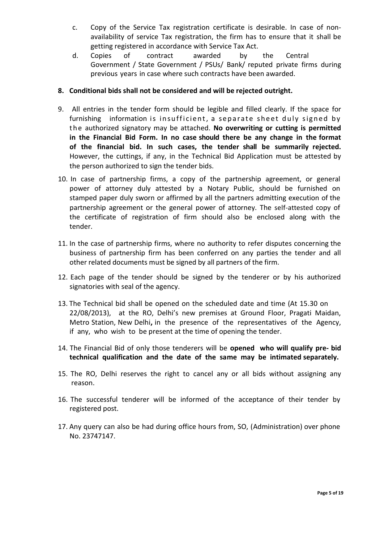- c. Copy of the Service Tax registration certificate is desirable. In case of nonavailability of service Tax registration, the firm has to ensure that it shall be getting registered in accordance with Service Tax Act.
- d. Copies of contract awarded by the Central Government / State Government / PSUs/ Bank/ reputed private firms during previous years in case where such contracts have been awarded.

### **8. Conditional bids shall not be considered and will be rejected outright.**

- 9. All entries in the tender form should be legible and filled clearly. If the space for furnishing information is in sufficient, a separate sheet duly signed by t h e authorized signatory may be attached. **No overwriting or cutting is permitted in the Financial Bid Form. In no case should there be any change in the format of the financial bid. In such cases, the tender shall be summarily rejected.** However, the cuttings, if any, in the Technical Bid Application must be attested by the person authorized to sign the tender bids.
- 10. In case of partnership firms, a copy of the partnership agreement, or general power of attorney duly attested by a Notary Public, should be furnished on stamped paper duly sworn or affirmed by all the partners admitting execution of the partnership agreement or the general power of attorney. The self-attested copy of the certificate of registration of firm should also be enclosed along with the tender.
- 11. In the case of partnership firms, where no authority to refer disputes concerning the business of partnership firm has been conferred on any parties the tender and all other related documents must be signed by all partners of the firm.
- 12. Each page of the tender should be signed by the tenderer or by his authorized signatories with seal of the agency.
- 13. The Technical bid shall be opened on the scheduled date and time (At 15.30 on 22/08/2013), at the RO, Delhi's new premises at Ground Floor, Pragati Maidan, Metro Station, New Delhi**,** in the presence of the representatives of the Agency, if any, who wish to be present at the time of opening the tender.
- 14. The Financial Bid of only those tenderers will be **opened who will qualify pre- bid technical qualification and the date of the same may be intimated separately.**
- 15. The RO, Delhi reserves the right to cancel any or all bids without assigning any reason.
- 16. The successful tenderer will be informed of the acceptance of their tender by registered post.
- 17. Any query can also be had during office hours from, SO, (Administration) over phone No. 23747147.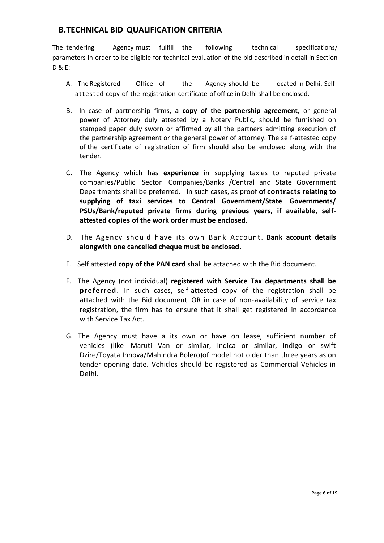# **B.TECHNICAL BID QUALIFICATION CRITERIA**

The tendering Agency must fulfill the following technical specifications/ parameters in order to be eligible for technical evaluation of the bid described in detail in Section D & E:

- A. The Registered Office of the Agency should be located in Delhi. Selfattested copy of the registration certificate of office in Delhi shall be enclosed.
- B. In case of partnership firms**, a copy of the partnership agreement**, or general power of Attorney duly attested by a Notary Public, should be furnished on stamped paper duly sworn or affirmed by all the partners admitting execution of the partnership agreement or the general power of attorney. The self-attested copy of the certificate of registration of firm should also be enclosed along with the tender.
- C**.** The Agency which has **experience** in supplying taxies to reputed private companies/Public Sector Companies/Banks /Central and State Government Departments shall be preferred. In such cases, as proof **of contracts relating to supplying of taxi services to Central Government/State Governments/ PSUs/Bank/reputed private firms during previous years, if available, selfattested copies of the work order must be enclosed.**
- D. The Agency should have its own Bank Account. **Bank account details alongwith one cancelled cheque must be enclosed.**
- E. Self attested **copy of the PAN card** shall be attached with the Bid document.
- F. The Agency (not individual) **registered with Service Tax departments shall be preferred**. In such cases, self-attested copy of the registration shall be attached with the Bid document OR in case of non-availability of service tax registration, the firm has to ensure that it shall get registered in accordance with Service Tax Act.
- G. The Agency must have a its own or have on lease, sufficient number of vehicles (like Maruti Van or similar, Indica or similar, Indigo or swift Dzire/Toyata Innova/Mahindra Bolero)of model not older than three years as on tender opening date. Vehicles should be registered as Commercial Vehicles in Delhi.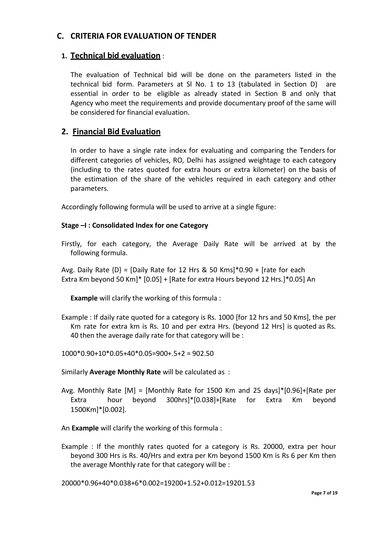# **C. CRITERIA FOR EVALUATION OF TENDER**

## **1. Technical bid evaluation** :

The evaluation of Technical bid will be done on the parameters listed in the technical bid form. Parameters at Sl No. 1 to 13 (tabulated in Section D) are essential in order to be eligible as already stated in Section B and only that Agency who meet the requirements and provide documentary proof of the same will be considered for financial evaluation.

# **2. Financial Bid Evaluation**

In order to have a single rate index for evaluating and comparing the Tenders for different categories of vehicles, RO, Delhi has assigned weightage to each category (including to the rates quoted for extra hours or extra kilometer) on the basis of the estimation of the share of the vehicles required in each category and other parameters.

Accordingly following formula will be used to arrive at a single figure:

### **Stage –I : Consolidated Index for one Category**

Firstly, for each category, the Average Daily Rate will be arrived at by the following formula.

Avg. Daily Rate  ${D} = [Daily Rate for 12 Hrs 8, 50 Kms]<sup>*</sup>0.90 + [rate for each$ Extra Km beyond 50 Km]\* [0.05] + [Rate for extra Hours beyond 12 Hrs.]\*0.05] An

**Example** will clarify the working of this formula :

Example : If daily rate quoted for a category is Rs. 1000 [for 12 hrs and 50 Kms], the per Km rate for extra km is Rs. 10 and per extra Hrs. (beyond 12 Hrs] is quoted as Rs. 40 then the average daily rate for that category will be :

1000\*0.90+10\*0.05+40\*0.05=900+.5+2 = 902.50

Similarly **Average Monthly Rate** will be calculated as :

Avg. Monthly Rate [M] = [Monthly Rate for 1500 Km and 25 days]\*[0.96]+[Rate per Extra hour beyond 300hrs]\*[0.038]+[Rate for Extra Km beyond 1500Km]\*[0.002].

An **Example** will clarify the working of this formula :

Example : If the monthly rates quoted for a category is Rs. 20000, extra per hour beyond 300 Hrs is Rs. 40/Hrs and extra per Km beyond 1500 Km is Rs 6 per Km then the average Monthly rate for that category will be :

20000\*0.96+40\*0.038+6\*0.002=19200+1.52+0.012=19201.53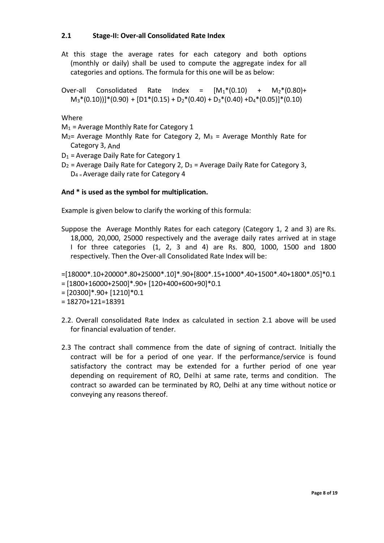### **2.1 Stage-II: Over-all Consolidated Rate Index**

At this stage the average rates for each category and both options (monthly or daily) shall be used to compute the aggregate index for all categories and options. The formula for this one will be as below:

Over-all Consolidated Rate Index =  $[M_1*(0.10) + M_2*(0.80) +$  $M_3*(0.10))]*(0.90) + [D1*(0.15) + D_2*(0.40) + D_3*(0.40) + D_4*(0.05)]*(0.10)$ 

Where

 $M_1$  = Average Monthly Rate for Category 1

- $M<sub>2</sub>=$  Average Monthly Rate for Category 2, M<sub>3</sub> = Average Monthly Rate for Category 3, And
- $D_1$  = Average Daily Rate for Category 1
- $D_2$  = Average Daily Rate for Category 2,  $D_3$  = Average Daily Rate for Category 3,  $D_4$  = Average daily rate for Category 4

### **And \* is used as the symbol for multiplication.**

Example is given below to clarify the working of this formula:

Suppose the Average Monthly Rates for each category (Category 1, 2 and 3) are Rs. 18,000, 20,000, 25000 respectively and the average daily rates arrived at in stage I for three categories (1, 2, 3 and 4) are Rs. 800, 1000, 1500 and 1800 respectively. Then the Over-all Consolidated Rate Index will be:

=[18000\*.10+20000\*.80+25000\*.10]\*.90+[800\*.15+1000\*.40+1500\*.40+1800\*.05]\*0.1

- = [1800+16000+2500]\*.90+ [120+400+600+90]\*0.1
- = [20300]\*.90+ [1210]\*0.1
- $= 18270 + 121 = 18391$
- 2.2. Overall consolidated Rate Index as calculated in section 2.1 above will be used for financial evaluation of tender.
- 2.3 The contract shall commence from the date of signing of contract. Initially the contract will be for a period of one year. If the performance/service is found satisfactory the contract may be extended for a further period of one year depending on requirement of RO, Delhi at same rate, terms and condition. The contract so awarded can be terminated by RO, Delhi at any time without notice or conveying any reasons thereof.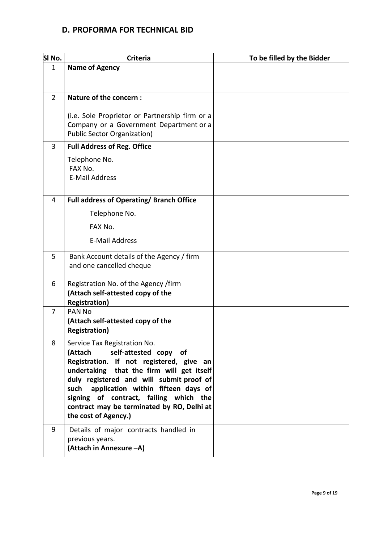# **D. PROFORMA FOR TECHNICAL BID**

| SI No.         | <b>Criteria</b>                                                                                                                                                                                                                                                                                                                                                     | To be filled by the Bidder |
|----------------|---------------------------------------------------------------------------------------------------------------------------------------------------------------------------------------------------------------------------------------------------------------------------------------------------------------------------------------------------------------------|----------------------------|
| 1              | <b>Name of Agency</b>                                                                                                                                                                                                                                                                                                                                               |                            |
| $\overline{2}$ | Nature of the concern:                                                                                                                                                                                                                                                                                                                                              |                            |
|                | (i.e. Sole Proprietor or Partnership firm or a<br>Company or a Government Department or a<br><b>Public Sector Organization)</b>                                                                                                                                                                                                                                     |                            |
| 3              | <b>Full Address of Reg. Office</b>                                                                                                                                                                                                                                                                                                                                  |                            |
|                | Telephone No.<br>FAX No.<br><b>E-Mail Address</b>                                                                                                                                                                                                                                                                                                                   |                            |
| 4              | <b>Full address of Operating/Branch Office</b>                                                                                                                                                                                                                                                                                                                      |                            |
|                | Telephone No.                                                                                                                                                                                                                                                                                                                                                       |                            |
|                | FAX No.                                                                                                                                                                                                                                                                                                                                                             |                            |
|                | <b>E-Mail Address</b>                                                                                                                                                                                                                                                                                                                                               |                            |
| 5              | Bank Account details of the Agency / firm<br>and one cancelled cheque                                                                                                                                                                                                                                                                                               |                            |
| 6              | Registration No. of the Agency /firm<br>(Attach self-attested copy of the<br><b>Registration)</b>                                                                                                                                                                                                                                                                   |                            |
| 7              | PAN <sub>No</sub><br>(Attach self-attested copy of the<br><b>Registration)</b>                                                                                                                                                                                                                                                                                      |                            |
| 8              | Service Tax Registration No.<br>self-attested copy of<br>(Attach<br>Registration. If not registered, give an<br>undertaking that the firm will get itself<br>duly registered and will submit proof of<br>application within fifteen days of<br>such<br>signing of contract, failing which the<br>contract may be terminated by RO, Delhi at<br>the cost of Agency.) |                            |
| 9              | Details of major contracts handled in<br>previous years.<br>(Attach in Annexure -A)                                                                                                                                                                                                                                                                                 |                            |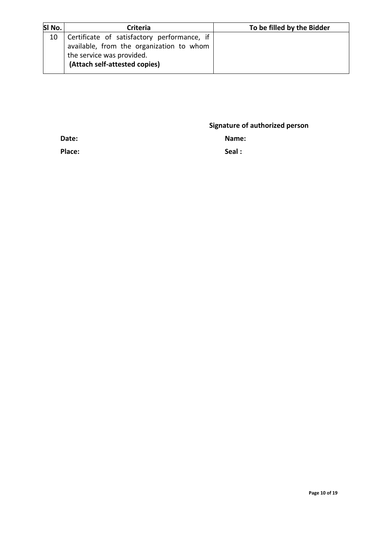| SI No. | <b>Criteria</b>                             | To be filled by the Bidder |
|--------|---------------------------------------------|----------------------------|
| 10     | Certificate of satisfactory performance, if |                            |
|        | available, from the organization to whom    |                            |
|        | the service was provided.                   |                            |
|        | (Attach self-attested copies)               |                            |
|        |                                             |                            |

**Signature of authorized person**

**Date: Name:** 

**Place: Seal :**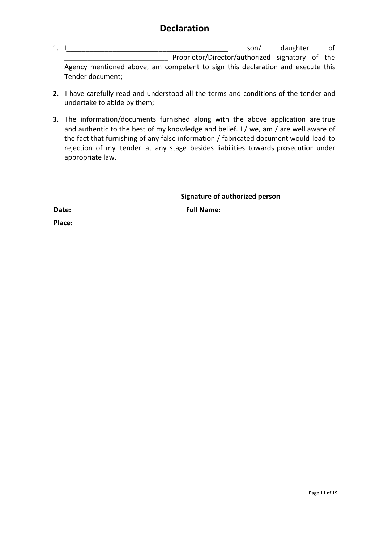# **Declaration**

- 1. I contract the son of the son of the son of the daughter of the son of the son of the son of the son of the son of the son of the son of the son of the son of the son of the son of the son of the son of the son of the s \_\_\_\_\_\_\_\_\_\_\_\_\_\_\_\_\_\_\_\_\_\_\_\_\_\_\_ Proprietor/Director/authorized signatory of the Agency mentioned above, am competent to sign this declaration and execute this Tender document;
- **2.** I have carefully read and understood all the terms and conditions of the tender and undertake to abide by them;
- **3.** The information/documents furnished along with the above application are true and authentic to the best of my knowledge and belief. I / we, am / are well aware of the fact that furnishing of any false information / fabricated document would lead to rejection of my tender at any stage besides liabilities towards prosecution under appropriate law.

**Signature of authorized person**

**Date: Full Name:** 

**Place:**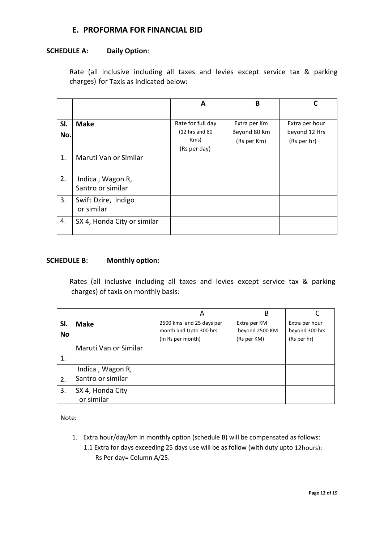## **E. PROFORMA FOR FINANCIAL BID**

#### **SCHEDULE A: Daily Option**:

Rate (all inclusive including all taxes and levies except service tax & parking charges) for Taxis as indicated below:

|            |                                       | A                                                             | B                                           |                                                |
|------------|---------------------------------------|---------------------------------------------------------------|---------------------------------------------|------------------------------------------------|
| SI.<br>No. | <b>Make</b>                           | Rate for full day<br>$(12$ hrs and 80<br>Kms)<br>(Rs per day) | Extra per Km<br>Beyond 80 Km<br>(Rs per Km) | Extra per hour<br>beyond 12 Hrs<br>(Rs per hr) |
| 1.         | Maruti Van or Similar                 |                                                               |                                             |                                                |
| 2.         | Indica, Wagon R,<br>Santro or similar |                                                               |                                             |                                                |
| 3.         | Swift Dzire, Indigo<br>or similar     |                                                               |                                             |                                                |
| 4.         | SX 4, Honda City or similar           |                                                               |                                             |                                                |

#### **SCHEDULE B: Monthly option:**

Rates (all inclusive including all taxes and levies except service tax & parking charges) of taxis on monthly basis:

|     |                       | А                        | B              |                |
|-----|-----------------------|--------------------------|----------------|----------------|
| SI. | <b>Make</b>           | 2500 kms and 25 days per | Extra per KM   | Extra per hour |
| No  |                       | month and Upto 300 hrs   | beyond 2500 KM | beyond 300 hrs |
|     |                       | (In Rs per month)        | (Rs per KM)    | (Rs per hr)    |
|     | Maruti Van or Similar |                          |                |                |
| 1.  |                       |                          |                |                |
|     | Indica, Wagon R,      |                          |                |                |
| 2.  | Santro or similar     |                          |                |                |
| 3.  | SX 4, Honda City      |                          |                |                |
|     | or similar            |                          |                |                |

Note:

1. Extra hour/day/km in monthly option (schedule B) will be compensated as follows: 1.1 Extra for days exceeding 25 days use will be as follow (with duty upto 12hours): Rs Per day= Column A/25.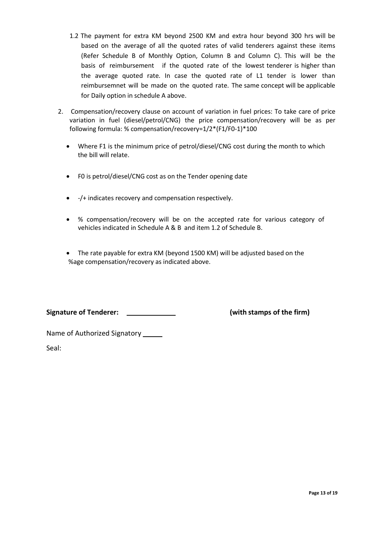- 1.2 The payment for extra KM beyond 2500 KM and extra hour beyond 300 hrs will be based on the average of all the quoted rates of valid tenderers against these items (Refer Schedule B of Monthly Option, Column B and Column C). This will be the basis of reimbursement if the quoted rate of the lowest tenderer is higher than the average quoted rate. In case the quoted rate of L1 tender is lower than reimbursemnet will be made on the quoted rate. The same concept will be applicable for Daily option in schedule A above.
- 2. Compensation/recovery clause on account of variation in fuel prices: To take care of price variation in fuel (diesel/petrol/CNG) the price compensation/recovery will be as per following formula: % compensation/recovery=1/2\*(F1/F0-1)\*100
	- Where F1 is the minimum price of petrol/diesel/CNG cost during the month to which the bill will relate.
	- F0 is petrol/diesel/CNG cost as on the Tender opening date
	- -/+ indicates recovery and compensation respectively.
	- % compensation/recovery will be on the accepted rate for various category of vehicles indicated in Schedule A & B and item 1.2 of Schedule B.
	- The rate payable for extra KM (beyond 1500 KM) will be adjusted based on the %age compensation/recovery as indicated above.

**Signature of Tenderer: (with stamps of the firm)**

Name of Authorized Signatory \_\_\_\_\_\_

Seal: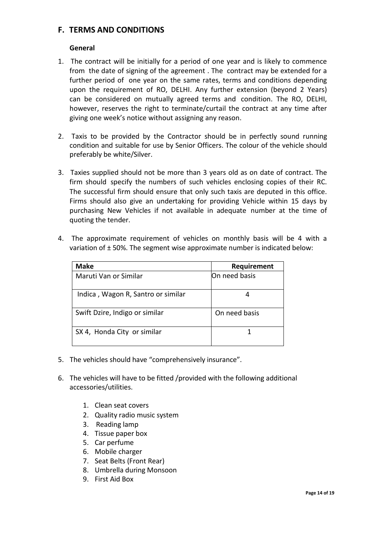### **F. TERMS AND CONDITIONS**

### **General**

- 1. The contract will be initially for a period of one year and is likely to commence from the date of signing of the agreement . The contract may be extended for a further period of one year on the same rates, terms and conditions depending upon the requirement of RO, DELHI. Any further extension (beyond 2 Years) can be considered on mutually agreed terms and condition. The RO, DELHI, however, reserves the right to terminate/curtail the contract at any time after giving one week's notice without assigning any reason.
- 2. Taxis to be provided by the Contractor should be in perfectly sound running condition and suitable for use by Senior Officers. The colour of the vehicle should preferably be white/Silver.
- 3. Taxies supplied should not be more than 3 years old as on date of contract. The firm should specify the numbers of such vehicles enclosing copies of their RC. The successful firm should ensure that only such taxis are deputed in this office. Firms should also give an undertaking for providing Vehicle within 15 days by purchasing New Vehicles if not available in adequate number at the time of quoting the tender.
- 4. The approximate requirement of vehicles on monthly basis will be 4 with a variation of ± 50%. The segment wise approximate number is indicated below:

| <b>Make</b>                        | Requirement   |
|------------------------------------|---------------|
| Maruti Van or Similar              | On need basis |
| Indica, Wagon R, Santro or similar |               |
| Swift Dzire, Indigo or similar     | On need basis |
| SX 4, Honda City or similar        |               |

- 5. The vehicles should have "comprehensively insurance".
- 6. The vehicles will have to be fitted /provided with the following additional accessories/utilities.
	- 1. Clean seat covers
	- 2. Quality radio music system
	- 3. Reading lamp
	- 4. Tissue paper box
	- 5. Car perfume
	- 6. Mobile charger
	- 7. Seat Belts (Front Rear)
	- 8. Umbrella during Monsoon
	- 9. First Aid Box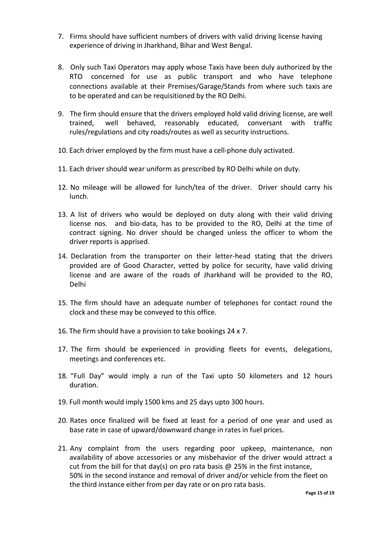- 7. Firms should have sufficient numbers of drivers with valid driving license having experience of driving in Jharkhand, Bihar and West Bengal.
- 8. Only such Taxi Operators may apply whose Taxis have been duly authorized by the RTO concerned for use as public transport and who have telephone connections available at their Premises/Garage/Stands from where such taxis are to be operated and can be requisitioned by the RO Delhi.
- 9. The firm should ensure that the drivers employed hold valid driving license, are well trained, well behaved, reasonably educated, conversant with traffic rules/regulations and city roads/routes as well as security instructions.
- 10. Each driver employed by the firm must have a cell-phone duly activated.
- 11. Each driver should wear uniform as prescribed by RO Delhi while on duty.
- 12. No mileage will be allowed for lunch/tea of the driver. Driver should carry his lunch.
- 13. A list of drivers who would be deployed on duty along with their valid driving license nos. and bio-data, has to be provided to the RO, Delhi at the time of contract signing. No driver should be changed unless the officer to whom the driver reports is apprised.
- 14. Declaration from the transporter on their letter-head stating that the drivers provided are of Good Character, vetted by police for security, have valid driving license and are aware of the roads of Jharkhand will be provided to the RO, Delhi
- 15. The firm should have an adequate number of telephones for contact round the clock and these may be conveyed to this office.
- 16. The firm should have a provision to take bookings 24 x 7.
- 17. The firm should be experienced in providing fleets for events, delegations, meetings and conferences etc.
- 18. "Full Day" would imply a run of the Taxi upto 50 kilometers and 12 hours duration.
- 19. Full month would imply 1500 kms and 25 days upto 300 hours.
- 20. Rates once finalized will be fixed at least for a period of one year and used as base rate in case of upward/downward change in rates in fuel prices.
- 21. Any complaint from the users regarding poor upkeep, maintenance, non availability of above accessories or any misbehavior of the driver would attract a cut from the bill for that day(s) on pro rata basis  $\omega$  25% in the first instance, 50% in the second instance and removal of driver and/or vehicle from the fleet on the third instance either from per day rate or on pro rata basis.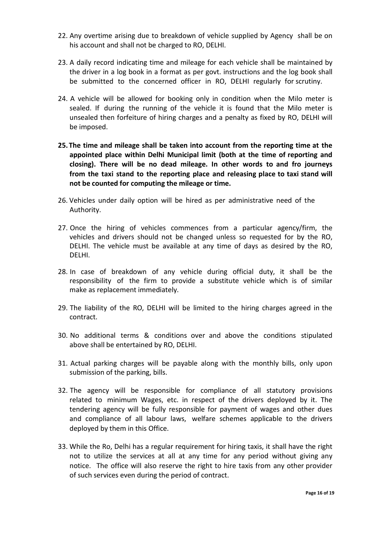- 22. Any overtime arising due to breakdown of vehicle supplied by Agency shall be on his account and shall not be charged to RO, DELHI.
- 23. A daily record indicating time and mileage for each vehicle shall be maintained by the driver in a log book in a format as per govt. instructions and the log book shall be submitted to the concerned officer in RO, DELHI regularly for scrutiny.
- 24. A vehicle will be allowed for booking only in condition when the Milo meter is sealed. If during the running of the vehicle it is found that the Milo meter is unsealed then forfeiture of hiring charges and a penalty as fixed by RO, DELHI will be imposed.
- **25. The time and mileage shall be taken into account from the reporting time at the appointed place within Delhi Municipal limit (both at the time of reporting and closing). There will be no dead mileage. In other words to and fro journeys from the taxi stand to the reporting place and releasing place to taxi stand will not be counted for computing the mileage or time.**
- 26. Vehicles under daily option will be hired as per administrative need of the Authority.
- 27. Once the hiring of vehicles commences from a particular agency/firm, the vehicles and drivers should not be changed unless so requested for by the RO, DELHI. The vehicle must be available at any time of days as desired by the RO, DELHI.
- 28. In case of breakdown of any vehicle during official duty, it shall be the responsibility of the firm to provide a substitute vehicle which is of similar make as replacement immediately.
- 29. The liability of the RO, DELHI will be limited to the hiring charges agreed in the contract.
- 30. No additional terms & conditions over and above the conditions stipulated above shall be entertained by RO, DELHI.
- 31. Actual parking charges will be payable along with the monthly bills, only upon submission of the parking, bills.
- 32. The agency will be responsible for compliance of all statutory provisions related to minimum Wages, etc. in respect of the drivers deployed by it. The tendering agency will be fully responsible for payment of wages and other dues and compliance of all labour laws, welfare schemes applicable to the drivers deployed by them in this Office.
- 33. While the Ro, Delhi has a regular requirement for hiring taxis, it shall have the right not to utilize the services at all at any time for any period without giving any notice. The office will also reserve the right to hire taxis from any other provider of such services even during the period of contract.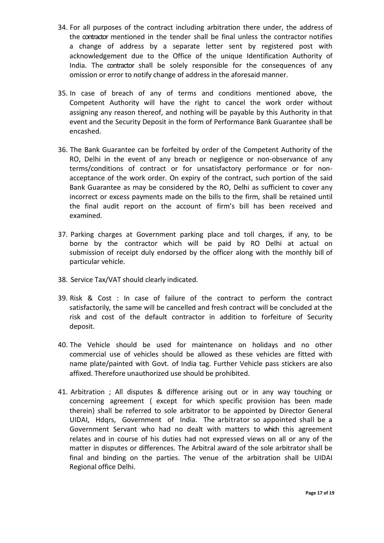- 34. For all purposes of the contract including arbitration there under, the address of the contractor mentioned in the tender shall be final unless the contractor notifies a change of address by a separate letter sent by registered post with acknowledgement due to the Office of the unique Identification Authority of India. The contractor shall be solely responsible for the consequences of any omission or error to notify change of address in the aforesaid manner.
- 35. In case of breach of any of terms and conditions mentioned above, the Competent Authority will have the right to cancel the work order without assigning any reason thereof, and nothing will be payable by this Authority in that event and the Security Deposit in the form of Performance Bank Guarantee shall be encashed.
- 36. The Bank Guarantee can be forfeited by order of the Competent Authority of the RO, Delhi in the event of any breach or negligence or non-observance of any terms/conditions of contract or for unsatisfactory performance or for nonacceptance of the work order. On expiry of the contract, such portion of the said Bank Guarantee as may be considered by the RO, Delhi as sufficient to cover any incorrect or excess payments made on the bills to the firm, shall be retained until the final audit report on the account of firm's bill has been received and examined.
- 37. Parking charges at Government parking place and toll charges, if any, to be borne by the contractor which will be paid by RO Delhi at actual on submission of receipt duly endorsed by the officer along with the monthly bill of particular vehicle.
- 38. Service Tax/VAT should clearly indicated.
- 39. Risk & Cost : In case of failure of the contract to perform the contract satisfactorily, the same will be cancelled and fresh contract will be concluded at the risk and cost of the default contractor in addition to forfeiture of Security deposit.
- 40. The Vehicle should be used for maintenance on holidays and no other commercial use of vehicles should be allowed as these vehicles are fitted with name plate/painted with Govt. of India tag. Further Vehicle pass stickers are also affixed. Therefore unauthorized use should be prohibited.
- 41. Arbitration ; All disputes & difference arising out or in any way touching or concerning agreement ( except for which specific provision has been made therein) shall be referred to sole arbitrator to be appointed by Director General UIDAI, Hdqrs, Government of India. The arbitrator so appointed shall be a Government Servant who had no dealt with matters to which this agreement relates and in course of his duties had not expressed views on all or any of the matter in disputes or differences. The Arbitral award of the sole arbitrator shall be final and binding on the parties. The venue of the arbitration shall be UIDAI Regional office Delhi.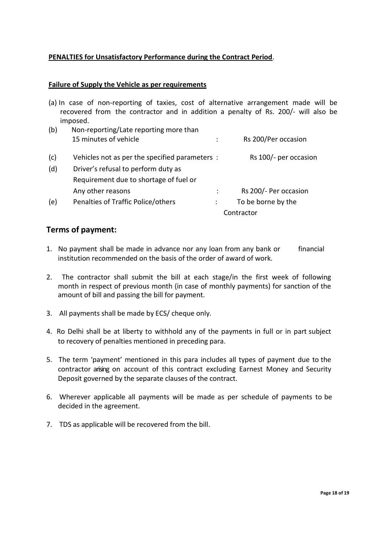### **PENALTIES for Unsatisfactory Performance during the Contract Period**.

#### **Failure of Supply the Vehicle as per requirements**

|     | (a) In case of non-reporting of taxies, cost of alternative arrangement made will be<br>recovered from the contractor and in addition a penalty of Rs. 200/- will also be<br>imposed. |                       |  |
|-----|---------------------------------------------------------------------------------------------------------------------------------------------------------------------------------------|-----------------------|--|
| (b) | Non-reporting/Late reporting more than                                                                                                                                                |                       |  |
|     | 15 minutes of vehicle                                                                                                                                                                 | Rs 200/Per occasion   |  |
| (c) | Vehicles not as per the specified parameters :                                                                                                                                        | Rs 100/- per occasion |  |
| (d) | Driver's refusal to perform duty as                                                                                                                                                   |                       |  |
|     | Requirement due to shortage of fuel or                                                                                                                                                |                       |  |
|     | Any other reasons                                                                                                                                                                     | Rs 200/- Per occasion |  |
| (e) | Penalties of Traffic Police/others                                                                                                                                                    | To be borne by the    |  |
|     |                                                                                                                                                                                       | Contractor            |  |

### **Terms of payment:**

- 1. No payment shall be made in advance nor any loan from any bank or financial institution recommended on the basis of the order of award of work.
- 2. The contractor shall submit the bill at each stage/in the first week of following month in respect of previous month (in case of monthly payments) for sanction of the amount of bill and passing the bill for payment.
- 3. All payments shall be made by ECS/ cheque only.
- 4. Ro Delhi shall be at liberty to withhold any of the payments in full or in part subject to recovery of penalties mentioned in preceding para.
- 5. The term 'payment' mentioned in this para includes all types of payment due to the contractor arising on account of this contract excluding Earnest Money and Security Deposit governed by the separate clauses of the contract.
- 6. Wherever applicable all payments will be made as per schedule of payments to be decided in the agreement.
- 7. TDS as applicable will be recovered from the bill.